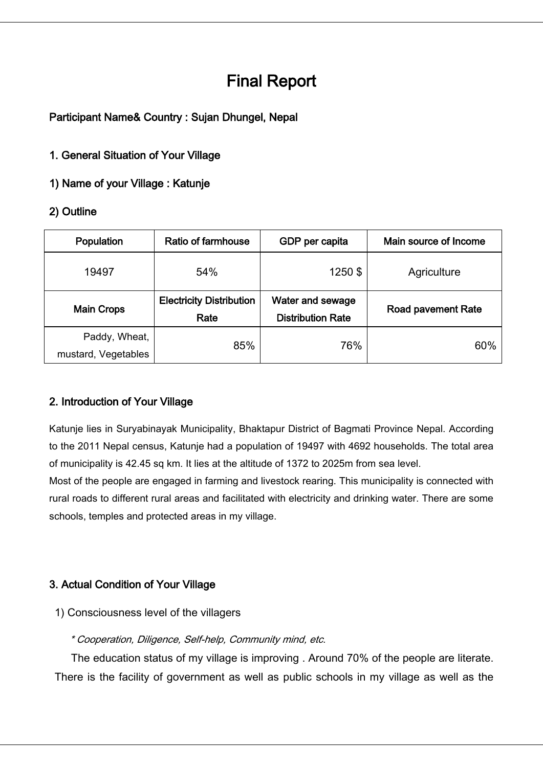# Final Report

## Participant Name& Country : Sujan Dhungel, Nepal

### 1. General Situation of Your Village

1) Name of your Village : Katunje

## 2) Outline

| Population                           | <b>Ratio of farmhouse</b>               | GDP per capita                               | Main source of Income     |
|--------------------------------------|-----------------------------------------|----------------------------------------------|---------------------------|
| 19497                                | 54%                                     | 1250\$                                       | Agriculture               |
| <b>Main Crops</b>                    | <b>Electricity Distribution</b><br>Rate | Water and sewage<br><b>Distribution Rate</b> | <b>Road pavement Rate</b> |
| Paddy, Wheat,<br>mustard, Vegetables | 85%                                     | 76%                                          | 60%                       |

# 2. Introduction of Your Village

Katunje lies in Suryabinayak Municipality, Bhaktapur District of Bagmati Province Nepal. According to the 2011 Nepal census, Katunje had a population of 19497 with 4692 households. The total area of municipality is 42.45 sq km. It lies at the altitude of 1372 to 2025m from sea level.

Most of the people are engaged in farming and livestock rearing. This municipality is connected with rural roads to different rural areas and facilitated with electricity and drinking water. There are some schools, temples and protected areas in my village.

# 3. Actual Condition of Your Village

1) Consciousness level of the villagers

#### \* Cooperation, Diligence, Self-help, Community mind, etc.

The education status of my village is improving . Around 70% of the people are literate. There is the facility of government as well as public schools in my village as well as the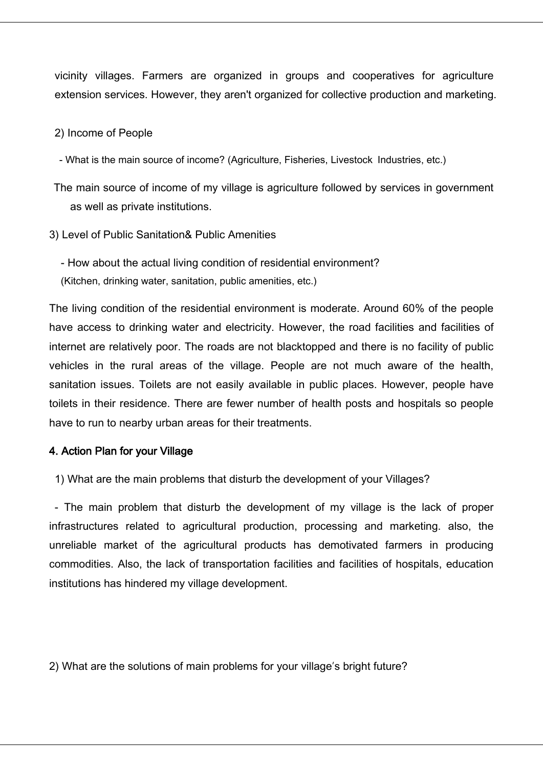vicinity villages. Farmers are organized in groups and cooperatives for agriculture extension services. However, they aren't organized for collective production and marketing.

#### 2) Income of People

- What is the main source of income? (Agriculture, Fisheries, Livestock Industries, etc.)

- The main source of income of my village is agriculture followed by services in government as well as private institutions.
- 3) Level of Public Sanitation& Public Amenities

- How about the actual living condition of residential environment? (Kitchen, drinking water, sanitation, public amenities, etc.)

The living condition of the residential environment is moderate. Around 60% of the people have access to drinking water and electricity. However, the road facilities and facilities of internet are relatively poor. The roads are not blacktopped and there is no facility of public vehicles in the rural areas of the village. People are not much aware of the health, sanitation issues. Toilets are not easily available in public places. However, people have toilets in their residence. There are fewer number of health posts and hospitals so people have to run to nearby urban areas for their treatments.

#### 4. Action Plan for your Village

1) What are the main problems that disturb the development of your Villages?

- The main problem that disturb the development of my village is the lack of proper infrastructures related to agricultural production, processing and marketing. also, the unreliable market of the agricultural products has demotivated farmers in producing commodities. Also, the lack of transportation facilities and facilities of hospitals, education institutions has hindered my village development.

2) What are the solutions of main problems for your village's bright future?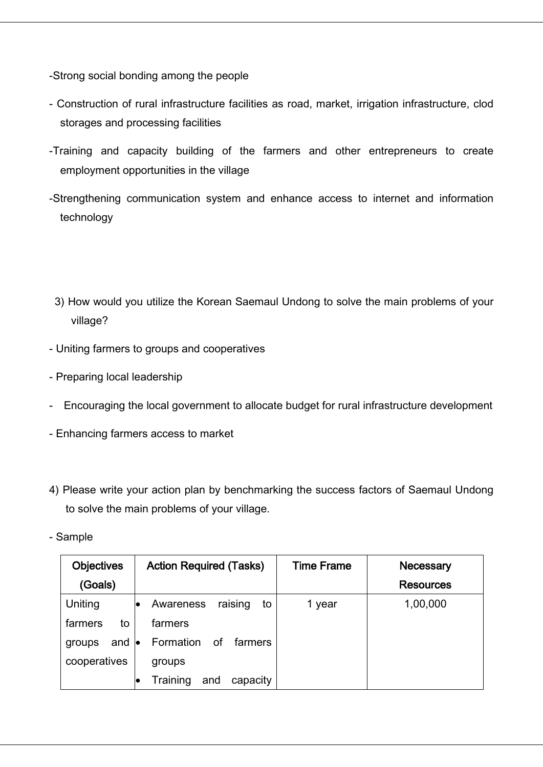-Strong social bonding among the people

- Construction of rural infrastructure facilities as road, market, irrigation infrastructure, clod storages and processing facilities
- -Training and capacity building of the farmers and other entrepreneurs to create employment opportunities in the village
- -Strengthening communication system and enhance access to internet and information technology
	- 3) How would you utilize the Korean Saemaul Undong to solve the main problems of your village?
- Uniting farmers to groups and cooperatives
- Preparing local leadership
- Encouraging the local government to allocate budget for rural infrastructure development
- Enhancing farmers access to market
- 4) Please write your action plan by benchmarking the success factors of Saemaul Undong to solve the main problems of your village.
- Sample

| <b>Objectives</b> | <b>Action Required (Tasks)</b>    | <b>Time Frame</b> | Necessary        |
|-------------------|-----------------------------------|-------------------|------------------|
| (Goals)           |                                   |                   | <b>Resources</b> |
| Uniting           | raising<br>Awareness<br>to        | 1 year            | 1,00,000         |
| farmers<br>to     | farmers                           |                   |                  |
| and<br>groups     | Formation<br>farmers<br>оf<br>le. |                   |                  |
| cooperatives      | groups                            |                   |                  |
|                   | Training<br>capacity<br>and       |                   |                  |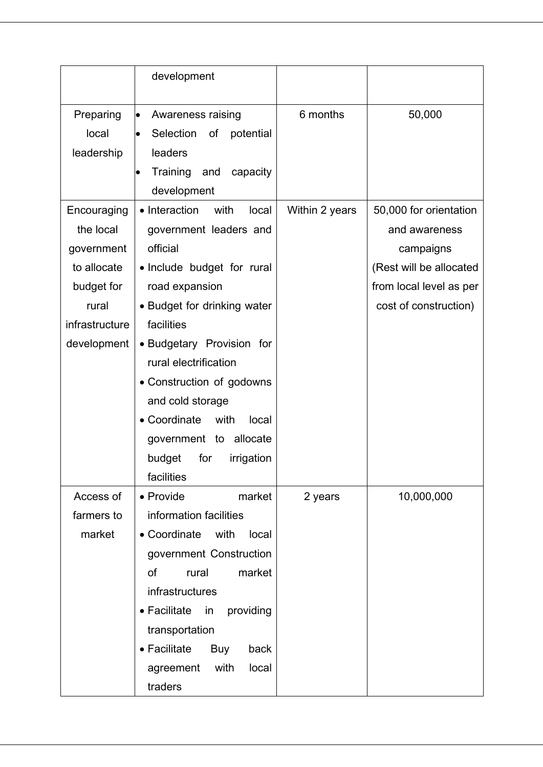|                                                                                                               | development                                                                                                                                                                                                                                                                                                                                                                         |                |                                                                                                                                     |
|---------------------------------------------------------------------------------------------------------------|-------------------------------------------------------------------------------------------------------------------------------------------------------------------------------------------------------------------------------------------------------------------------------------------------------------------------------------------------------------------------------------|----------------|-------------------------------------------------------------------------------------------------------------------------------------|
| Preparing<br>local<br>leadership                                                                              | Awareness raising<br>$\bullet$<br>Selection<br>of<br>potential<br>$\bullet$<br>leaders<br>Training and capacity<br>$\bullet$<br>development                                                                                                                                                                                                                                         | 6 months       | 50,000                                                                                                                              |
| Encouraging<br>the local<br>government<br>to allocate<br>budget for<br>rural<br>infrastructure<br>development | • Interaction<br>with<br>local<br>government leaders and<br>official<br>• Include budget for rural<br>road expansion<br>• Budget for drinking water<br>facilities<br>• Budgetary Provision for<br>rural electrification<br>• Construction of godowns<br>and cold storage<br>• Coordinate<br>with<br>local<br>allocate<br>government to<br>for<br>budget<br>irrigation<br>facilities | Within 2 years | 50,000 for orientation<br>and awareness<br>campaigns<br>(Rest will be allocated<br>from local level as per<br>cost of construction) |
| Access of<br>farmers to<br>market                                                                             | • Provide<br>market<br>information facilities<br>• Coordinate<br>with<br>local<br>government Construction<br>market<br>of<br>rural<br>infrastructures<br>• Facilitate<br>providing<br>in<br>transportation<br>• Facilitate<br>Buy<br>back<br>with<br>local<br>agreement<br>traders                                                                                                  | 2 years        | 10,000,000                                                                                                                          |